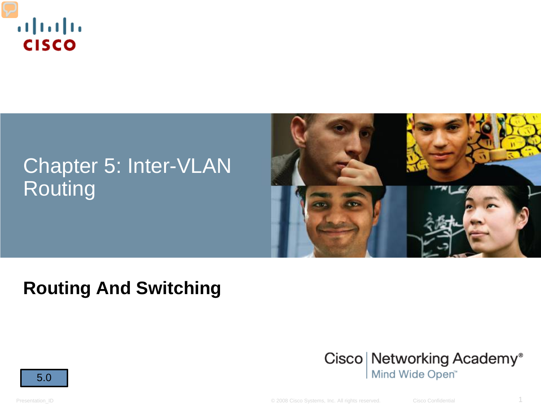

## Chapter 5: Inter-VLAN Routing



#### **Routing And Switching**



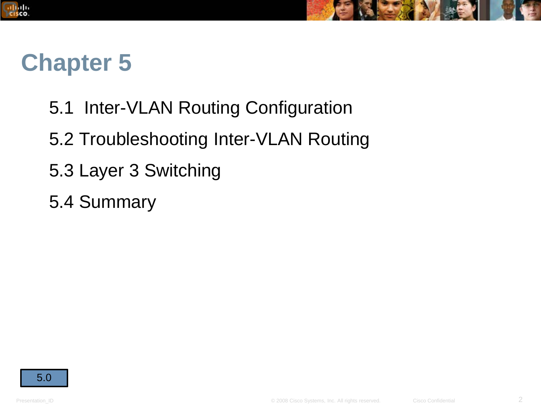



## **Chapter 5**

- 5.1 Inter-VLAN Routing Configuration
- 5.2 Troubleshooting Inter-VLAN Routing
- 5.3 Layer 3 Switching
- 5.4 Summary

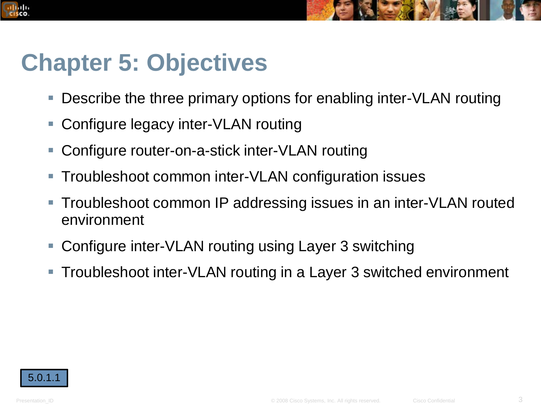# **Chapter 5: Objectives**

- Describe the three primary options for enabling inter-VLAN routing
- Configure legacy inter-VLAN routing
- Configure router-on-a-stick inter-VLAN routing
- **Troubleshoot common inter-VLAN configuration issues**
- Troubleshoot common IP addressing issues in an inter-VLAN routed environment
- Configure inter-VLAN routing using Layer 3 switching
- Troubleshoot inter-VLAN routing in a Layer 3 switched environment



altala. cisco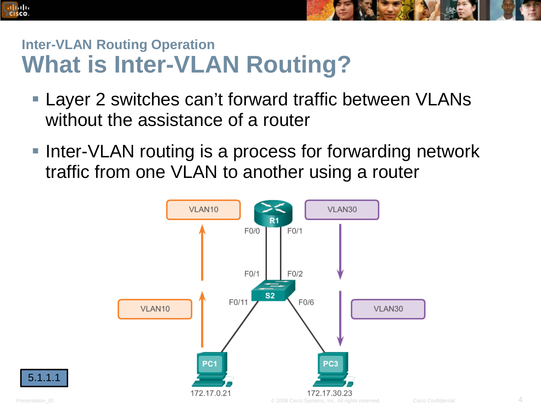#### **Inter-VLAN Routing Operation What is Inter-VLAN Routing?**

- **Layer 2 switches can't forward traffic between VLANs** without the assistance of a router
- **Inter-VLAN routing is a process for forwarding network** traffic from one VLAN to another using a router



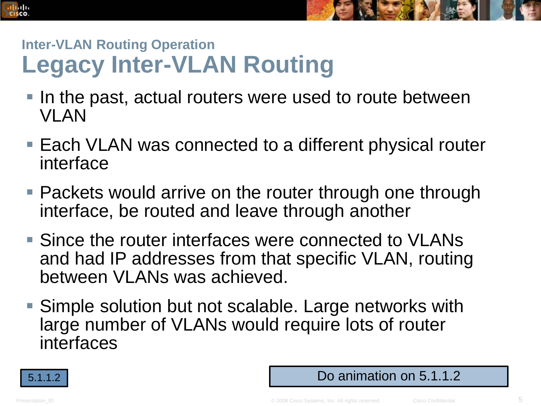

#### **Inter-VLAN Routing Operation Legacy Inter-VLAN Routing**

- In the past, actual routers were used to route between VLAN
- Each VLAN was connected to a different physical router interface
- **Packets would arrive on the router through one through** interface, be routed and leave through another
- Since the router interfaces were connected to VLANs and had IP addresses from that specific VLAN, routing between VLANs was achieved.
- Simple solution but not scalable. Large networks with large number of VLANs would require lots of router interfaces



#### 5.1.1.2 Do animation on 5.1.1.2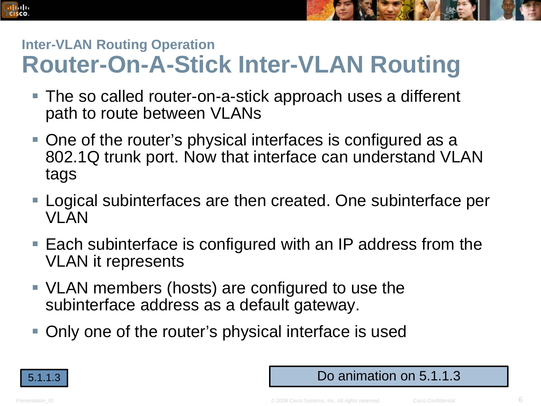#### **Inter-VLAN Routing Operation Router-On-A-Stick Inter-VLAN Routing**

- The so called router-on-a-stick approach uses a different path to route between VLANs
- One of the router's physical interfaces is configured as a 802.1Q trunk port. Now that interface can understand VLAN tags
- Logical subinterfaces are then created. One subinterface per VLAN
- Each subinterface is configured with an IP address from the VLAN it represents
- VLAN members (hosts) are configured to use the subinterface address as a default gateway.
- Only one of the router's physical interface is used



#### 5.1.1.3 Do animation on 5.1.1.3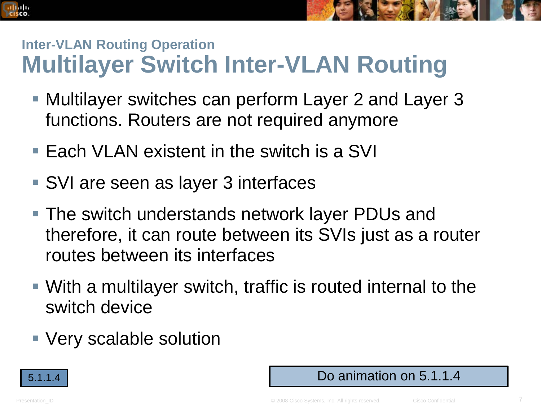#### **Inter-VLAN Routing Operation Multilayer Switch Inter-VLAN Routing**

- Multilayer switches can perform Layer 2 and Layer 3 functions. Routers are not required anymore
- Each VLAN existent in the switch is a SVI
- SVI are seen as layer 3 interfaces
- The switch understands network layer PDUs and therefore, it can route between its SVIs just as a router routes between its interfaces
- With a multilayer switch, traffic is routed internal to the switch device
- Very scalable solution



#### 5.1.1.4 Do animation on 5.1.1.4

altala. CISCO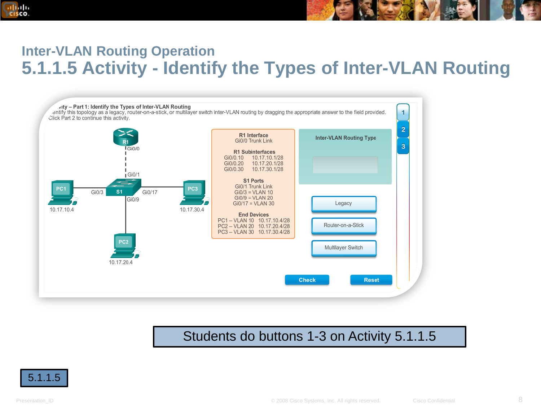## **5.1.1.5 Activity - Identify the Types of Inter-VLAN Routing**



#### Students do buttons 1-3 on Activity 5.1.1.5



ahah CISCO.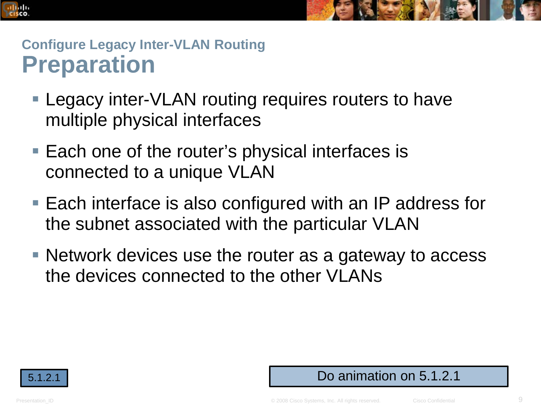

#### **Configure Legacy Inter-VLAN Routing Preparation**

- **Legacy inter-VLAN routing requires routers to have** multiple physical interfaces
- Each one of the router's physical interfaces is connected to a unique VLAN
- Each interface is also configured with an IP address for the subnet associated with the particular VLAN
- Network devices use the router as a gateway to access the devices connected to the other VLANs

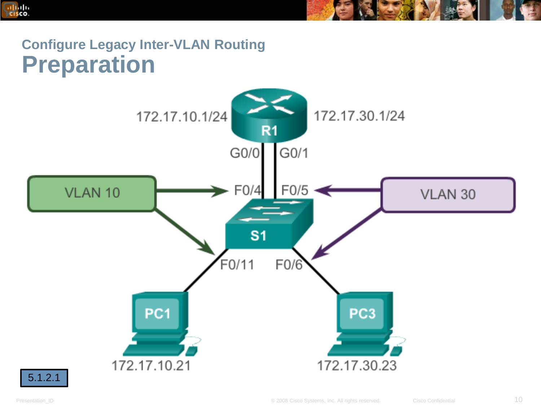

#### **Configure Legacy Inter-VLAN Routing Preparation**

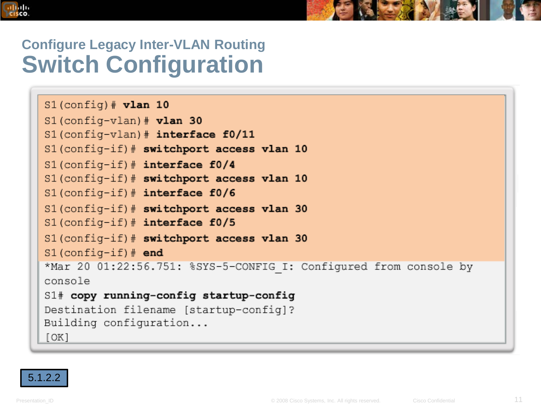

#### **Configure Legacy Inter-VLAN Routing Switch Configuration**

| $S1$ (config) # vlan 10                                           |
|-------------------------------------------------------------------|
| $S1$ (config-vlan) $*$ vlan 30                                    |
| $S1$ (config-vlan) # interface f0/11                              |
| S1(config-if)# switchport access vlan 10                          |
| $S1$ (confiq-if) # interface f0/4                                 |
| S1(config-if)# switchport access vlan 10                          |
| $S1$ (config-if)# interface f0/6                                  |
| S1(config-if)# switchport access vlan 30                          |
| $S1$ (config-if) # interface f0/5                                 |
| S1(config-if)# switchport access vlan 30                          |
| $S1$ (config-if) $#$ end                                          |
| *Mar 20 01:22:56.751: %SYS-5-CONFIG I: Configured from console by |
| console                                                           |
| S1# copy running-config startup-config                            |
| Destination filename [startup-config]?                            |
| Building configuration                                            |
| [OK]                                                              |

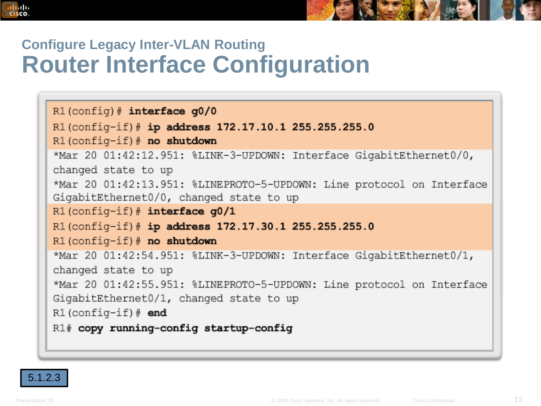

#### **Configure Legacy Inter-VLAN Routing Router Interface Configuration**

```
R1 (config) # interface q0/0R1(config-if)# ip address 172.17.10.1 255.255.255.0
R1 (config-if) # no shutdown
*Mar 20 01:42:12.951: %LINK-3-UPDOWN: Interface GigabitEthernet0/0,
changed state to up
*Mar 20 01:42:13.951: %LINEPROTO-5-UPDOWN: Line protocol on Interface
GigabitEthernet0/0, changed state to up
R1(config-if)# interface g0/1
R1(config-if)# ip address 172.17.30.1 255.255.255.0
R1 (config-if) # no shutdown
*Mar 20 01:42:54.951: %LINK-3-UPDOWN: Interface GigabitEthernet0/1,
changed state to up
*Mar 20 01:42:55.951: %LINEPROTO-5-UPDOWN: Line protocol on Interface
GigabitEthernet0/1, changed state to up
R1 (config-if) # end
R1# copy running-config startup-config
```
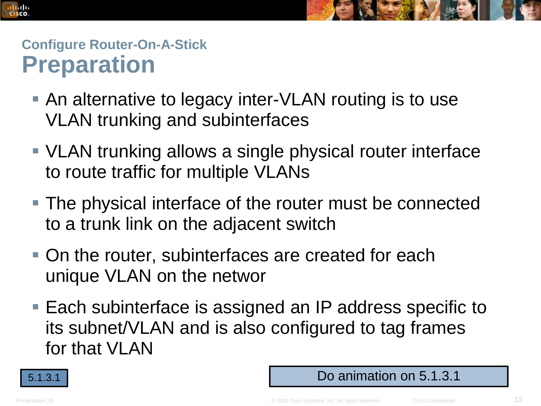

#### **Configure Router-On-A-Stick Preparation**

- An alternative to legacy inter-VLAN routing is to use VLAN trunking and subinterfaces
- VLAN trunking allows a single physical router interface to route traffic for multiple VLANs
- The physical interface of the router must be connected to a trunk link on the adjacent switch
- On the router, subinterfaces are created for each unique VLAN on the networ
- Each subinterface is assigned an IP address specific to its subnet/VLAN and is also configured to tag frames for that VLAN



#### 5.1.3.1 Do animation on 5.1.3.1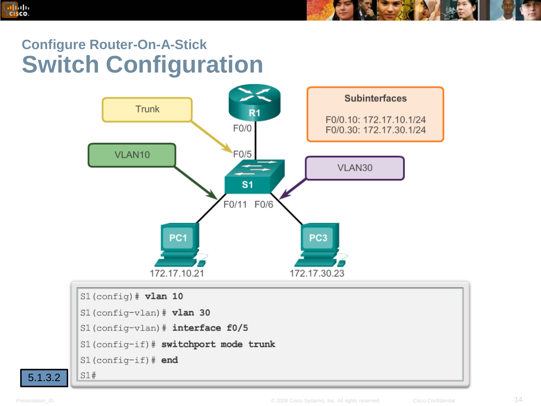

#### **Configure Router-On-A-Stick Switch Configuration**

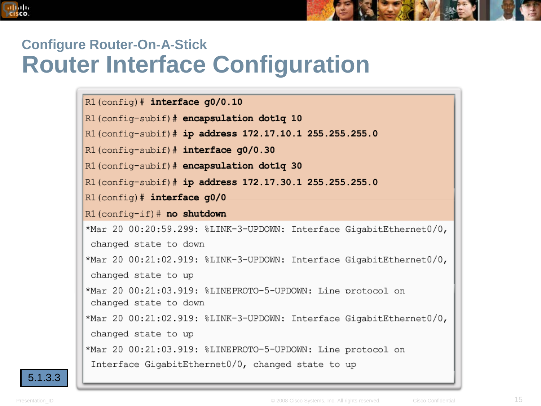#### **Configure Router-On-A-Stick Router Interface Configuration**

 $R1$ (config)# interface q0/0.10

R1(config-subif)# encapsulation dot1q 10

R1(config-subif)# ip address 172.17.10.1 255.255.255.0

 $R1$ (config-subif)# interface g0/0.30

R1 (config-subif) # encapsulation dot1q 30

R1(config-subif)# ip address 172.17.30.1 255.255.255.0

 $R1$  (config) # interface  $q0/0$ 

R1(config-if)# no shutdown

\*Mar 20 00:20:59.299: %LINK-3-UPDOWN: Interface GigabitEthernet0/0, changed state to down

\*Mar 20 00:21:02.919: %LINK-3-UPDOWN: Interface GigabitEthernet0/0, changed state to up

\*Mar 20 00:21:03.919: %LINEPROTO-5-UPDOWN: Line protocol on changed state to down

\*Mar 20 00:21:02.919: %LINK-3-UPDOWN: Interface GigabitEthernet0/0, changed state to up

\*Mar 20 00:21:03.919: %LINEPROTO-5-UPDOWN: Line protocol on Interface GigabitEthernet0/0, changed state to up



ahah CISCO.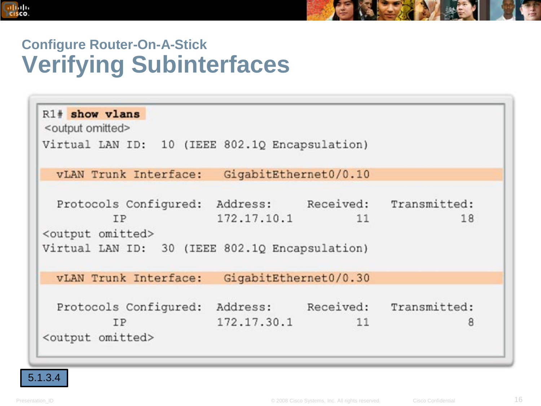

#### **Configure Router-On-A-Stick Verifying Subinterfaces**

| R1# show vlans<br><output omitted=""></output>                                                                 |                       |    |                                       |
|----------------------------------------------------------------------------------------------------------------|-----------------------|----|---------------------------------------|
| Virtual LAN ID: 10 (IEEE 802.10 Encapsulation)                                                                 |                       |    |                                       |
| vLAN Trunk Interface:                                                                                          | GigabitEthernet0/0.10 |    |                                       |
| Protocols Configured:<br>IP<br><output omitted=""><br/>Virtual LAN ID: 30 (IEEE 802.1Q Encapsulation)</output> | 172.17.10.1           | 11 | Address: Received: Transmitted:<br>18 |
| vLAN Trunk Interface:                                                                                          | GigabitEthernet0/0.30 |    |                                       |
| Protocols Configured:<br>IP<br><output omitted=""></output>                                                    | 172.17.30.1           | 11 | Address: Received: Transmitted:<br>8  |

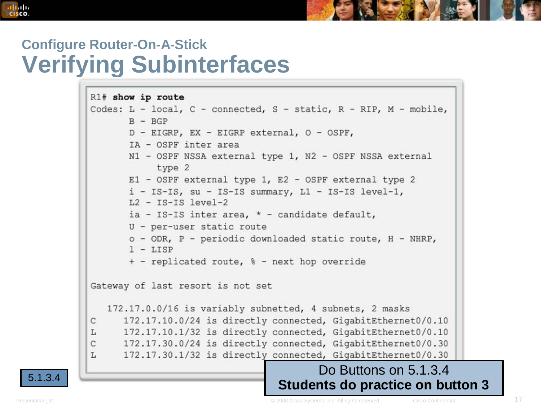#### **Configure Router-On-A-Stick Verifying Subinterfaces**

```
R1# show ip route
          Codes: L - local, C - connected, S - static, R - RIP, M - mobile,
                 B - BGPD - EIGRP, EX - EIGRP external, O - OSPF,
                 IA - OSPF inter area
                 N1 - OSPF NSSA external type 1, N2 - OSPF NSSA external
                      type 2
                 E1 - OSPF external type 1, E2 - OSPF external type 2
                 i - IS-IS, su - IS-IS summary, L1 - IS-IS level-1,
                 L2 - IS-IS level-2
                 ia - IS-IS inter area, * - candidate default,
                 U - per-user static route
                 \circ - ODR, P - periodic downloaded static route, H - NHRP,
                 1 - LISP+ - replicated route, % - next hop override
          Gateway of last resort is not set
             172.17.0.0/16 is variably subnetted, 4 subnets, 2 masks
                172.17.10.0/24 is directly connected, GigabitEthernet0/0.10
           С
                172.17.10.1/32 is directly connected, GigabitEthernet0/0.10
           L
                172.17.30.0/24 is directly connected, GigabitEthernet0/0.30
           C
                172.17.30.1/32 is directly connected, GigabitEthernet0/0.30
           L
5.1.3.4 Do Buttons on 5.1.3.4
                                           Students do practice on button 3
```
ahah CISCO.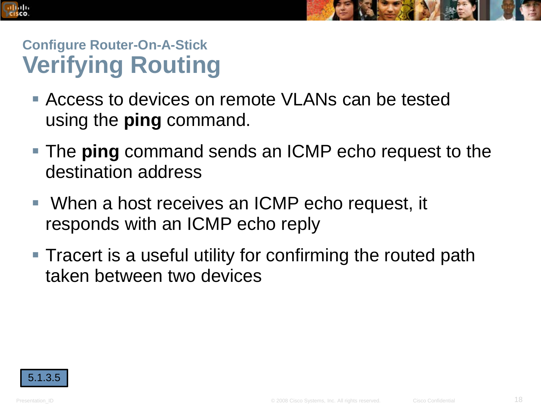



## **Configure Router-On-A-Stick Verifying Routing**

- **Access to devices on remote VLANs can be tested** using the **ping** command.
- The **ping** command sends an ICMP echo request to the destination address
- When a host receives an ICMP echo request, it responds with an ICMP echo reply
- Tracert is a useful utility for confirming the routed path taken between two devices

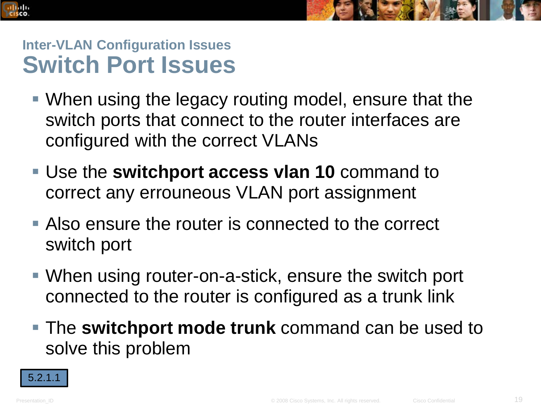



#### **Inter-VLAN Configuration Issues Switch Port Issues**

- When using the legacy routing model, ensure that the switch ports that connect to the router interfaces are configured with the correct VLANs
- Use the **switchport access vlan 10** command to correct any errouneous VLAN port assignment
- Also ensure the router is connected to the correct switch port
- When using router-on-a-stick, ensure the switch port connected to the router is configured as a trunk link
- The **switchport mode trunk** command can be used to solve this problem

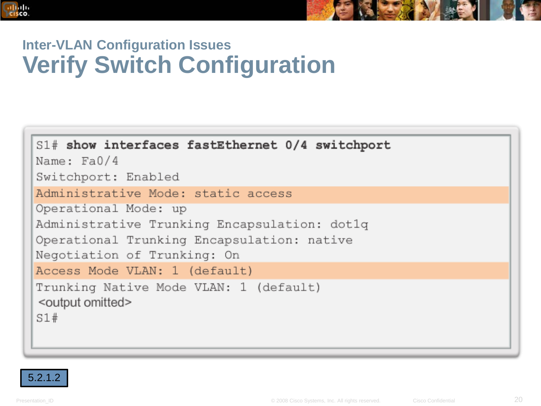

#### **Inter-VLAN Configuration Issues Verify Switch Configuration**

| S1# show interfaces fastEthernet 0/4 switchport<br>Name: Fa0/4                 |
|--------------------------------------------------------------------------------|
| Switchport: Enabled                                                            |
| Administrative Mode: static access                                             |
| Operational Mode: up                                                           |
| Administrative Trunking Encapsulation: dotlq                                   |
| Operational Trunking Encapsulation: native<br>Negotiation of Trunking: On      |
| Access Mode VLAN: 1 (default)                                                  |
| Trunking Native Mode VLAN: 1 (default)<br><output omitted=""><br/>S1#</output> |

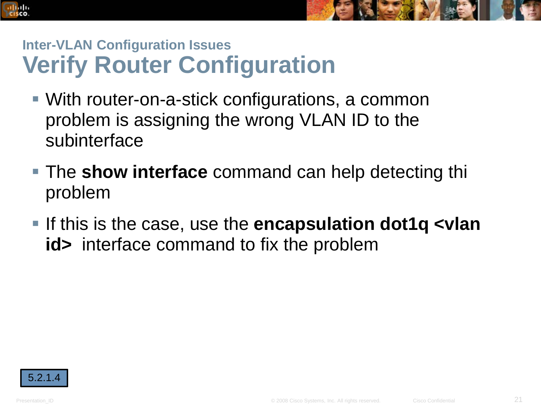



#### **Inter-VLAN Configuration Issues Verify Router Configuration**

- With router-on-a-stick configurations, a common problem is assigning the wrong VLAN ID to the subinterface
- The **show interface** command can help detecting thi problem
- If this is the case, use the **encapsulation dot1q <vlan id>** interface command to fix the problem

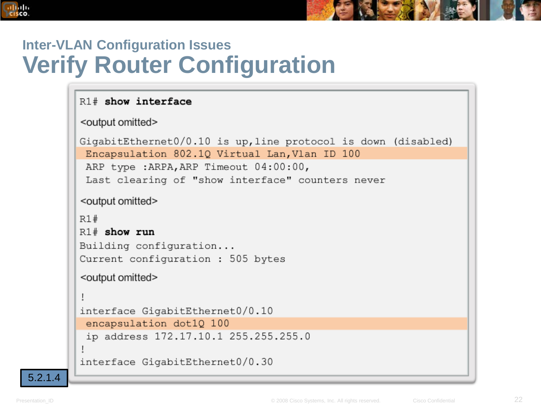

#### **Inter-VLAN Configuration Issues Verify Router Configuration**

#### $R1#$  show interface <output omitted> GigabitEthernet0/0.10 is up, line protocol is down (disabled) Encapsulation 802.10 Virtual Lan, Vlan ID 100 ARP type : ARPA, ARP Timeout 04:00:00, Last clearing of "show interface" counters never <output omitted>  $R1#$  $R1#$  show run Building configuration... Current configuration: 505 bytes <output omitted> Ţ interface GigabitEthernet0/0.10 encapsulation dot10 100 ip address 172.17.10.1 255.255.255.0 interface GigabitEthernet0/0.30

5.2.1.4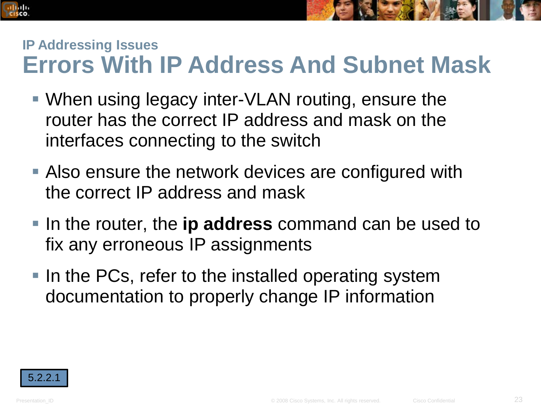#### **IP Addressing Issues Errors With IP Address And Subnet Mask**

- When using legacy inter-VLAN routing, ensure the router has the correct IP address and mask on the interfaces connecting to the switch
- Also ensure the network devices are configured with the correct IP address and mask
- **If a** In the router, the **ip address** command can be used to fix any erroneous IP assignments
- In the PCs, refer to the installed operating system documentation to properly change IP information

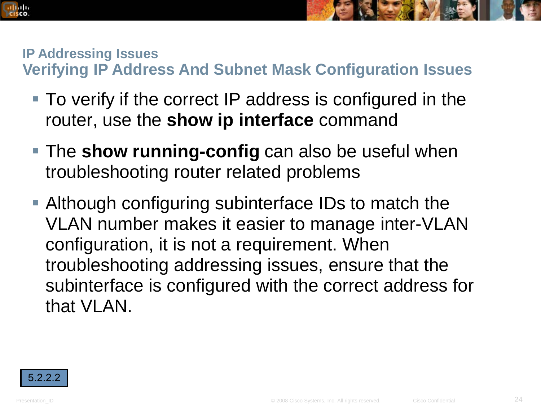#### **IP Addressing Issues**

**Verifying IP Address And Subnet Mask Configuration Issues**

- To verify if the correct IP address is configured in the router, use the **show ip interface** command
- **The show running-config** can also be useful when troubleshooting router related problems
- Although configuring subinterface IDs to match the VLAN number makes it easier to manage inter-VLAN configuration, it is not a requirement. When troubleshooting addressing issues, ensure that the subinterface is configured with the correct address for that VLAN.

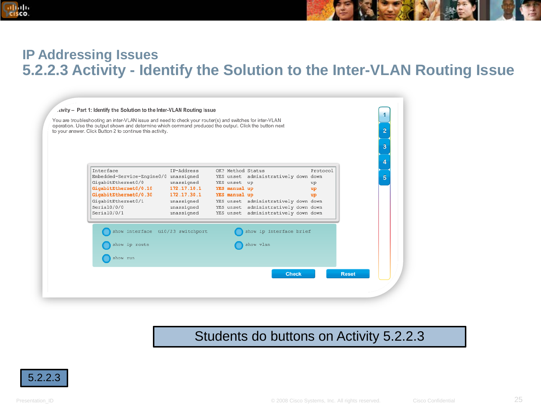

#### **IP Addressing Issues 5.2.2.3 Activity - Identify the Solution to the Inter-VLAN Routing Issue**



#### Students do buttons on Activity 5.2.2.3

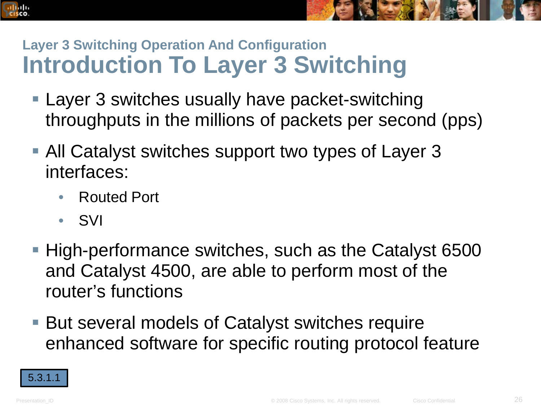## **Layer 3 Switching Operation And Configuration Introduction To Layer 3 Switching**

- Layer 3 switches usually have packet-switching throughputs in the millions of packets per second (pps)
- All Catalyst switches support two types of Layer 3 interfaces:
	- Routed Port
	- SVI
- High-performance switches, such as the Catalyst 6500 and Catalyst 4500, are able to perform most of the router's functions
- But several models of Catalyst switches require enhanced software for specific routing protocol feature

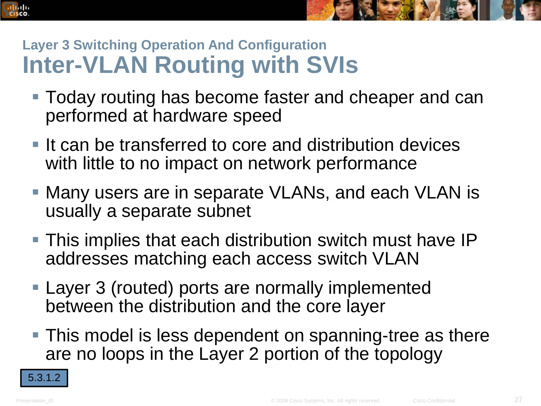

## **Layer 3 Switching Operation And Configuration Inter-VLAN Routing with SVIs**

- Today routing has become faster and cheaper and can performed at hardware speed
- $\blacksquare$  It can be transferred to core and distribution devices with little to no impact on network performance
- Many users are in separate VLANs, and each VLAN is usually a separate subnet
- This implies that each distribution switch must have IP addresses matching each access switch VLAN
- Layer 3 (routed) ports are normally implemented between the distribution and the core layer
- This model is less dependent on spanning-tree as there are no loops in the Layer 2 portion of the topology

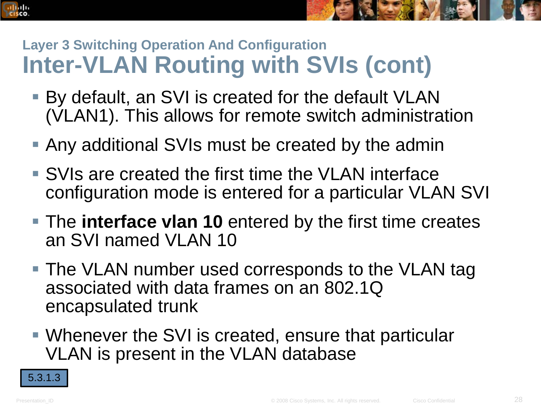## **Layer 3 Switching Operation And Configuration Inter-VLAN Routing with SVIs (cont)**

- By default, an SVI is created for the default VLAN (VLAN1). This allows for remote switch administration
- Any additional SVIs must be created by the admin
- SVIs are created the first time the VLAN interface configuration mode is entered for a particular VLAN SVI
- The **interface vlan 10** entered by the first time creates an SVI named VLAN 10
- The VLAN number used corresponds to the VLAN tag associated with data frames on an 802.1Q encapsulated trunk
- Whenever the SVI is created, ensure that particular VLAN is present in the VLAN database

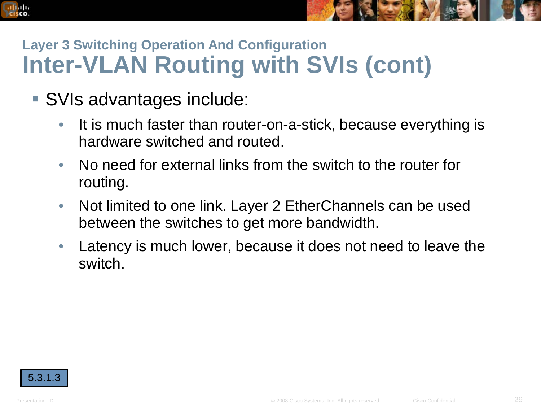## **Layer 3 Switching Operation And Configuration Inter-VLAN Routing with SVIs (cont)**

- SVIs advantages include:
	- It is much faster than router-on-a-stick, because everything is hardware switched and routed.
	- No need for external links from the switch to the router for routing.
	- Not limited to one link. Layer 2 EtherChannels can be used between the switches to get more bandwidth.
	- Latency is much lower, because it does not need to leave the switch.

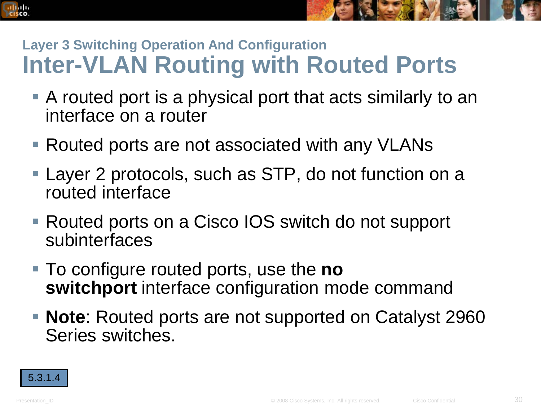

- A routed port is a physical port that acts similarly to an interface on a router
- Routed ports are not associated with any VLANs
- Layer 2 protocols, such as STP, do not function on a routed interface
- Routed ports on a Cisco IOS switch do not support subinterfaces
- To configure routed ports, use the **no switchport** interface configuration mode command
- **Note**: Routed ports are not supported on Catalyst 2960 Series switches.

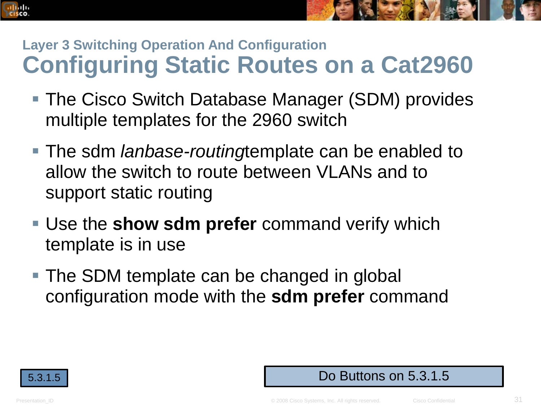

- The Cisco Switch Database Manager (SDM) provides multiple templates for the 2960 switch
- The sdm *lanbase-routing*template can be enabled to allow the switch to route between VLANs and to support static routing
- Use the **show sdm prefer** command verify which template is in use
- The SDM template can be changed in global configuration mode with the **sdm prefer** command



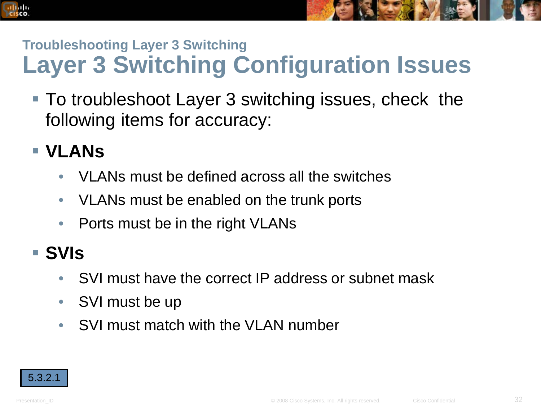## **Troubleshooting Layer 3 Switching Layer 3 Switching Configuration Issues**

 To troubleshoot Layer 3 switching issues, check the following items for accuracy:

### **VLANs**

albaha **CISCO** 

- VLANs must be defined across all the switches
- VLANs must be enabled on the trunk ports
- Ports must be in the right VLANs

#### **SVIs**

- SVI must have the correct IP address or subnet mask
- SVI must be up
- SVI must match with the VLAN number

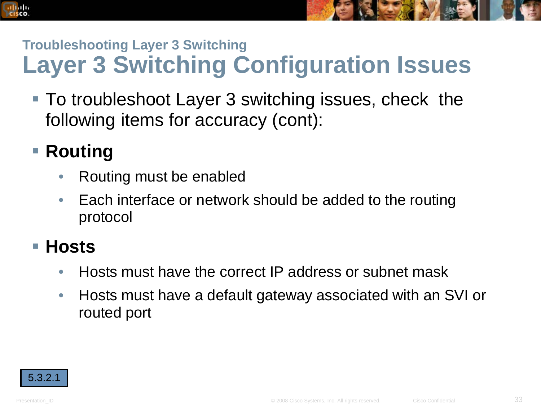## **Troubleshooting Layer 3 Switching Layer 3 Switching Configuration Issues**

 To troubleshoot Layer 3 switching issues, check the following items for accuracy (cont):

## ■ Routing

albaha **CISCO** 

- Routing must be enabled
- Each interface or network should be added to the routing protocol

#### **Hosts**

- Hosts must have the correct IP address or subnet mask
- Hosts must have a default gateway associated with an SVI or routed port

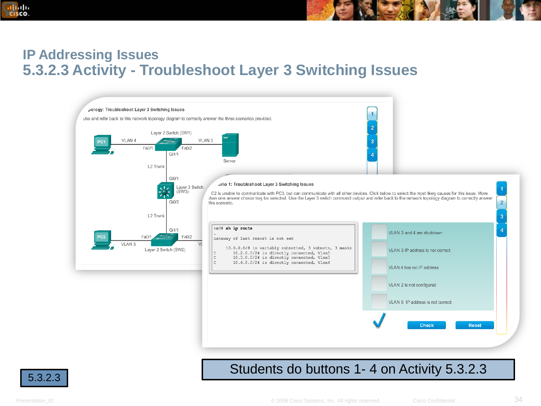

#### **IP Addressing Issues 5.3.2.3 Activity - Troubleshoot Layer 3 Switching Issues**



#### 5.3.2.3 Students do buttons 1- 4 on Activity 5.3.2.3

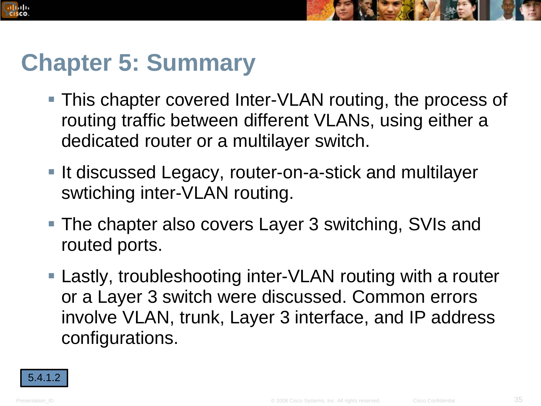

# **Chapter 5: Summary**

- This chapter covered Inter-VLAN routing, the process of routing traffic between different VLANs, using either a dedicated router or a multilayer switch.
- It discussed Legacy, router-on-a-stick and multilayer swtiching inter-VLAN routing.
- **The chapter also covers Layer 3 switching, SVIs and** routed ports.
- Lastly, troubleshooting inter-VLAN routing with a router or a Layer 3 switch were discussed. Common errors involve VLAN, trunk, Layer 3 interface, and IP address configurations.